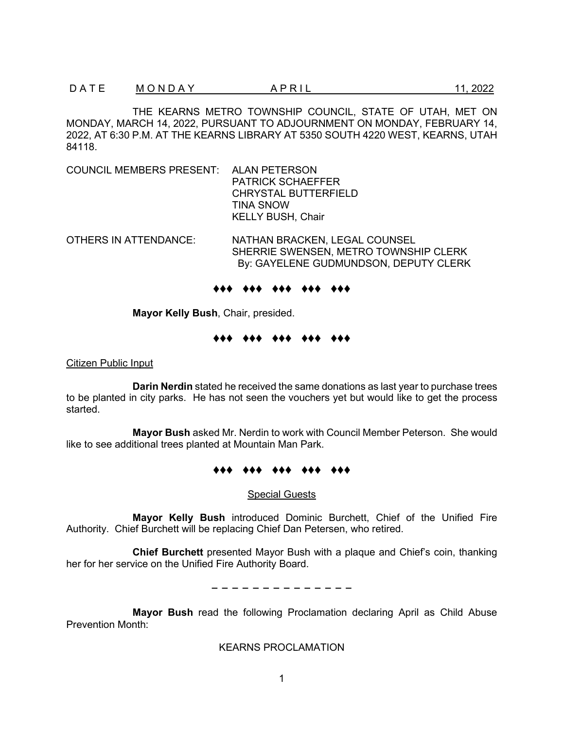THE KEARNS METRO TOWNSHIP COUNCIL, STATE OF UTAH, MET ON MONDAY, MARCH 14, 2022, PURSUANT TO ADJOURNMENT ON MONDAY, FEBRUARY 14, 2022, AT 6:30 P.M. AT THE KEARNS LIBRARY AT 5350 SOUTH 4220 WEST, KEARNS, UTAH 84118.

COUNCIL MEMBERS PRESENT: ALAN PETERSON PATRICK SCHAEFFER CHRYSTAL BUTTERFIELD TINA SNOW KELLY BUSH, Chair

OTHERS IN ATTENDANCE: NATHAN BRACKEN, LEGAL COUNSEL SHERRIE SWENSEN, METRO TOWNSHIP CLERK By: GAYELENE GUDMUNDSON, DEPUTY CLERK

### ♦♦♦ ♦♦♦ ♦♦♦ ♦♦♦ ♦♦♦

**Mayor Kelly Bush**, Chair, presided.

## ♦♦♦ ♦♦♦ ♦♦♦ ♦♦♦ ♦♦♦

### Citizen Public Input

**Darin Nerdin** stated he received the same donations as last year to purchase trees to be planted in city parks. He has not seen the vouchers yet but would like to get the process started.

**Mayor Bush** asked Mr. Nerdin to work with Council Member Peterson. She would like to see additional trees planted at Mountain Man Park.

## ♦♦♦ ♦♦♦ ♦♦♦ ♦♦♦ ♦♦♦

## Special Guests

**Mayor Kelly Bush** introduced Dominic Burchett, Chief of the Unified Fire Authority. Chief Burchett will be replacing Chief Dan Petersen, who retired.

**Chief Burchett** presented Mayor Bush with a plaque and Chief's coin, thanking her for her service on the Unified Fire Authority Board.

− − − − − − − − − − − − − −

**Mayor Bush** read the following Proclamation declaring April as Child Abuse Prevention Month:

## KEARNS PROCLAMATION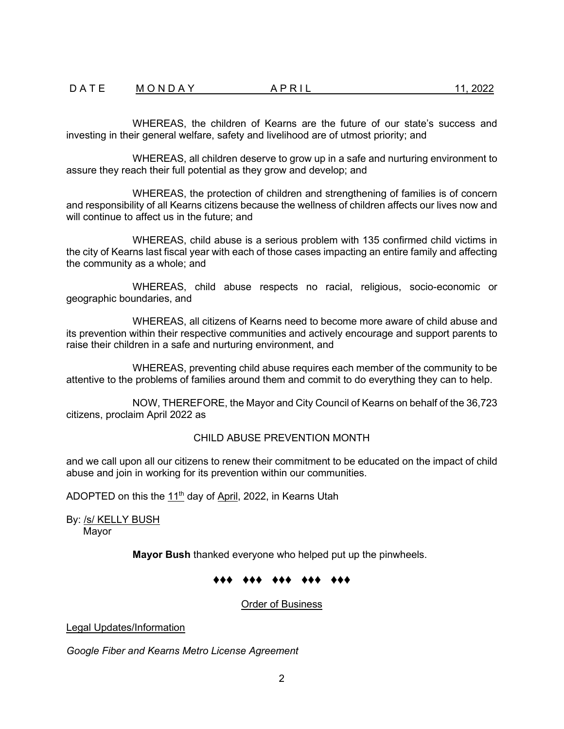WHEREAS, the children of Kearns are the future of our state's success and investing in their general welfare, safety and livelihood are of utmost priority; and

WHEREAS, all children deserve to grow up in a safe and nurturing environment to assure they reach their full potential as they grow and develop; and

WHEREAS, the protection of children and strengthening of families is of concern and responsibility of all Kearns citizens because the wellness of children affects our lives now and will continue to affect us in the future; and

WHEREAS, child abuse is a serious problem with 135 confirmed child victims in the city of Kearns last fiscal year with each of those cases impacting an entire family and affecting the community as a whole; and

WHEREAS, child abuse respects no racial, religious, socio-economic or geographic boundaries, and

WHEREAS, all citizens of Kearns need to become more aware of child abuse and its prevention within their respective communities and actively encourage and support parents to raise their children in a safe and nurturing environment, and

WHEREAS, preventing child abuse requires each member of the community to be attentive to the problems of families around them and commit to do everything they can to help.

NOW, THEREFORE, the Mayor and City Council of Kearns on behalf of the 36,723 citizens, proclaim April 2022 as

# CHILD ABUSE PREVENTION MONTH

and we call upon all our citizens to renew their commitment to be educated on the impact of child abuse and join in working for its prevention within our communities.

ADOPTED on this the  $11<sup>th</sup>$  day of April, 2022, in Kearns Utah

By: <u>/s/ KELLY BUSH</u>

Mayor

**Mayor Bush** thanked everyone who helped put up the pinwheels.

# ♦♦♦ ♦♦♦ ♦♦♦ ♦♦♦ ♦♦♦

# Order of Business

Legal Updates/Information

*Google Fiber and Kearns Metro License Agreement*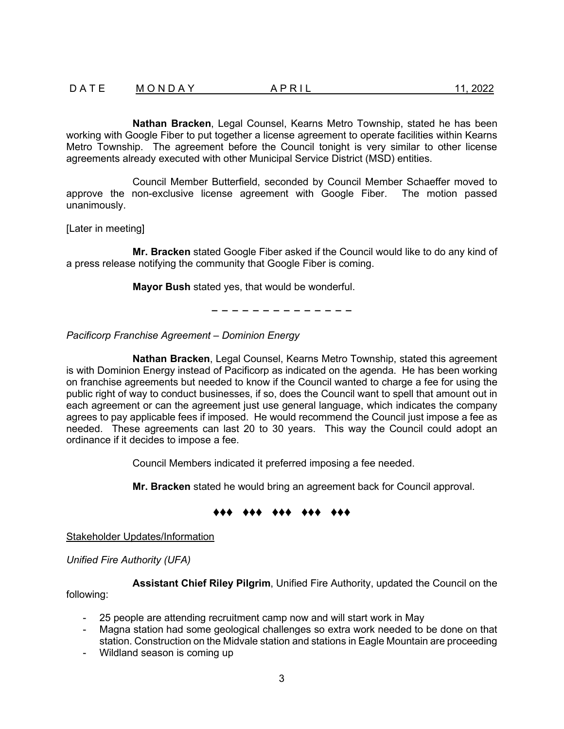**Nathan Bracken**, Legal Counsel, Kearns Metro Township, stated he has been working with Google Fiber to put together a license agreement to operate facilities within Kearns Metro Township. The agreement before the Council tonight is very similar to other license agreements already executed with other Municipal Service District (MSD) entities.

Council Member Butterfield, seconded by Council Member Schaeffer moved to approve the non-exclusive license agreement with Google Fiber. The motion passed unanimously.

[Later in meeting]

**Mr. Bracken** stated Google Fiber asked if the Council would like to do any kind of a press release notifying the community that Google Fiber is coming.

**Mayor Bush** stated yes, that would be wonderful.

− − − − − − − − − − − − − −

*Pacificorp Franchise Agreement – Dominion Energy*

**Nathan Bracken**, Legal Counsel, Kearns Metro Township, stated this agreement is with Dominion Energy instead of Pacificorp as indicated on the agenda. He has been working on franchise agreements but needed to know if the Council wanted to charge a fee for using the public right of way to conduct businesses, if so, does the Council want to spell that amount out in each agreement or can the agreement just use general language, which indicates the company agrees to pay applicable fees if imposed. He would recommend the Council just impose a fee as needed. These agreements can last 20 to 30 years. This way the Council could adopt an ordinance if it decides to impose a fee.

Council Members indicated it preferred imposing a fee needed.

**Mr. Bracken** stated he would bring an agreement back for Council approval.

# ♦♦♦ ♦♦♦ ♦♦♦ ♦♦♦ ♦♦♦

Stakeholder Updates/Information

*Unified Fire Authority (UFA)*

**Assistant Chief Riley Pilgrim**, Unified Fire Authority, updated the Council on the following:

- 25 people are attending recruitment camp now and will start work in May
- Magna station had some geological challenges so extra work needed to be done on that station. Construction on the Midvale station and stations in Eagle Mountain are proceeding
- Wildland season is coming up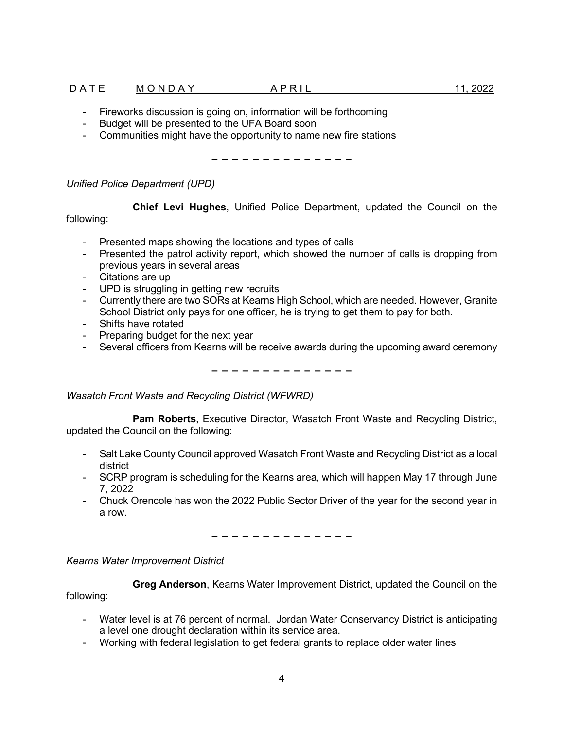# D A T E M O N D A Y A P R I L 41, 2022

- Fireworks discussion is going on, information will be forthcoming
- Budget will be presented to the UFA Board soon
- Communities might have the opportunity to name new fire stations

− − − − − − − − − − − − − −

*Unified Police Department (UPD)*

**Chief Levi Hughes**, Unified Police Department, updated the Council on the following:

- Presented maps showing the locations and types of calls
- Presented the patrol activity report, which showed the number of calls is dropping from previous years in several areas
- Citations are up
- UPD is struggling in getting new recruits
- Currently there are two SORs at Kearns High School, which are needed. However, Granite School District only pays for one officer, he is trying to get them to pay for both.
- Shifts have rotated
- Preparing budget for the next year
- Several officers from Kearns will be receive awards during the upcoming award ceremony

− − − − − − − − − − − − − −

*Wasatch Front Waste and Recycling District (WFWRD)*

**Pam Roberts**, Executive Director, Wasatch Front Waste and Recycling District, updated the Council on the following:

- Salt Lake County Council approved Wasatch Front Waste and Recycling District as a local district
- SCRP program is scheduling for the Kearns area, which will happen May 17 through June 7, 2022
- Chuck Orencole has won the 2022 Public Sector Driver of the year for the second year in a row.

− − − − − − − − − − − − − −

*Kearns Water Improvement District*

**Greg Anderson**, Kearns Water Improvement District, updated the Council on the following:

- Water level is at 76 percent of normal. Jordan Water Conservancy District is anticipating a level one drought declaration within its service area.
- Working with federal legislation to get federal grants to replace older water lines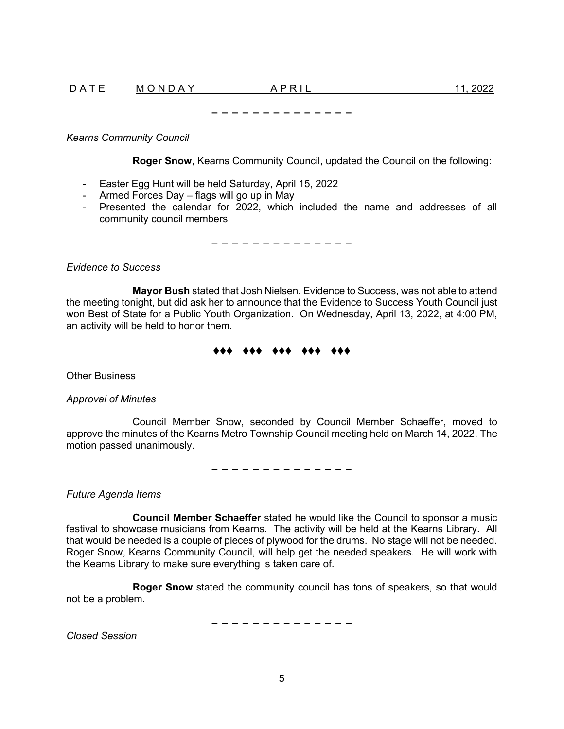# D A T E M O N D A Y A P RIL 2022

*Kearns Community Council* 

**Roger Snow**, Kearns Community Council, updated the Council on the following:

- Easter Egg Hunt will be held Saturday, April 15, 2022
- Armed Forces Day flags will go up in May
- Presented the calendar for 2022, which included the name and addresses of all community council members

− − − − − − − − − − − − − −

− − − − − − − − − − − − − −

# *Evidence to Success*

**Mayor Bush** stated that Josh Nielsen, Evidence to Success, was not able to attend the meeting tonight, but did ask her to announce that the Evidence to Success Youth Council just won Best of State for a Public Youth Organization. On Wednesday, April 13, 2022, at 4:00 PM, an activity will be held to honor them.

# ♦♦♦ ♦♦♦ ♦♦♦ ♦♦♦ ♦♦♦

Other Business

*Approval of Minutes*

Council Member Snow, seconded by Council Member Schaeffer, moved to approve the minutes of the Kearns Metro Township Council meeting held on March 14, 2022. The motion passed unanimously.

− − − − − − − − − − − − − −

*Future Agenda Items*

**Council Member Schaeffer** stated he would like the Council to sponsor a music festival to showcase musicians from Kearns. The activity will be held at the Kearns Library. All that would be needed is a couple of pieces of plywood for the drums. No stage will not be needed. Roger Snow, Kearns Community Council, will help get the needed speakers. He will work with the Kearns Library to make sure everything is taken care of.

**Roger Snow** stated the community council has tons of speakers, so that would not be a problem.

− − − − − − − − − − − − − −

*Closed Session*